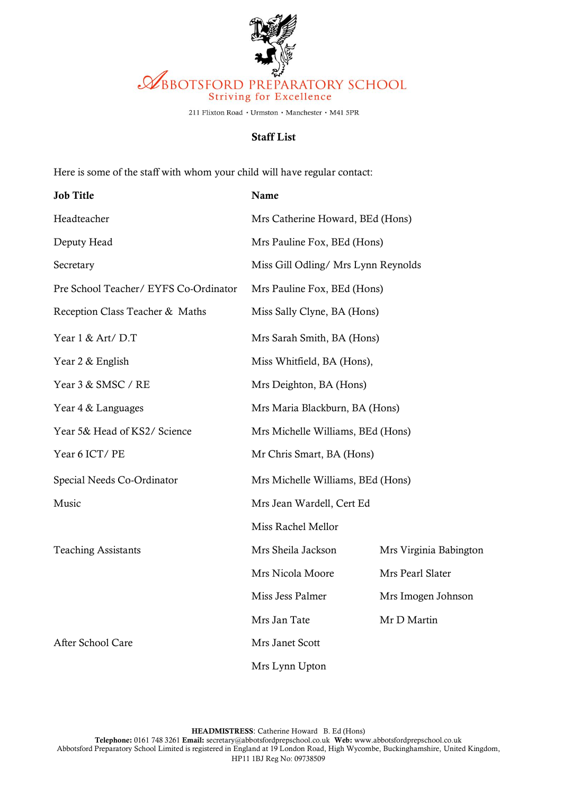

211 Flixton Road · Urmston · Manchester · M41 5PR

## Staff List

Here is some of the staff with whom your child will have regular contact:

| <b>Job Title</b>                      | Name                                |                        |
|---------------------------------------|-------------------------------------|------------------------|
| Headteacher                           | Mrs Catherine Howard, BEd (Hons)    |                        |
| Deputy Head                           | Mrs Pauline Fox, BEd (Hons)         |                        |
| Secretary                             | Miss Gill Odling/ Mrs Lynn Reynolds |                        |
| Pre School Teacher/ EYFS Co-Ordinator | Mrs Pauline Fox, BEd (Hons)         |                        |
| Reception Class Teacher & Maths       | Miss Sally Clyne, BA (Hons)         |                        |
| Year 1 & Art/D.T                      | Mrs Sarah Smith, BA (Hons)          |                        |
| Year 2 & English                      | Miss Whitfield, BA (Hons),          |                        |
| Year 3 & SMSC / RE                    | Mrs Deighton, BA (Hons)             |                        |
| Year 4 & Languages                    | Mrs Maria Blackburn, BA (Hons)      |                        |
| Year 5& Head of KS2/ Science          | Mrs Michelle Williams, BEd (Hons)   |                        |
| Year 6 ICT/PE                         | Mr Chris Smart, BA (Hons)           |                        |
| Special Needs Co-Ordinator            | Mrs Michelle Williams, BEd (Hons)   |                        |
| Music                                 | Mrs Jean Wardell, Cert Ed           |                        |
|                                       | Miss Rachel Mellor                  |                        |
| <b>Teaching Assistants</b>            | Mrs Sheila Jackson                  | Mrs Virginia Babington |
|                                       | Mrs Nicola Moore                    | Mrs Pearl Slater       |
|                                       | Miss Jess Palmer                    | Mrs Imogen Johnson     |
|                                       | Mrs Jan Tate                        | Mr D Martin            |
| After School Care                     | Mrs Janet Scott                     |                        |
|                                       | Mrs Lynn Upton                      |                        |

HEADMISTRESS: Catherine Howard B. Ed (Hons)

Telephone: 0161 748 3261 Email: secretary@abbotsfordprepschool.co.uk Web: www.abbotsfordprepschool.co.uk Abbotsford Preparatory School Limited is registered in England at 19 London Road, High Wycombe, Buckinghamshire, United Kingdom, HP11 1BJ Reg No: 09738509